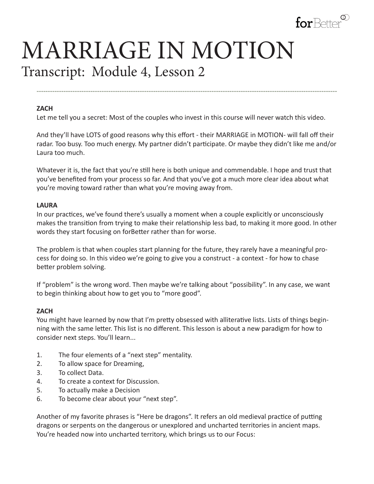

# MARRIAGE IN MOTION Transcript: Module 4, Lesson 2

#### **ZACH**

Let me tell you a secret: Most of the couples who invest in this course will never watch this video.

And they'll have LOTS of good reasons why this effort - their MARRIAGE in MOTION- will fall off their radar. Too busy. Too much energy. My partner didn't participate. Or maybe they didn't like me and/or Laura too much.

**--------------------------------------------------------------------------------------------------------------------------------------**

Whatever it is, the fact that you're still here is both unique and commendable. I hope and trust that you've benefited from your process so far. And that you've got a much more clear idea about what you're moving toward rather than what you're moving away from.

#### **LAURA**

In our practices, we've found there's usually a moment when a couple explicitly or unconsciously makes the transition from trying to make their relationship less bad, to making it more good. In other words they start focusing on forBetter rather than for worse.

The problem is that when couples start planning for the future, they rarely have a meaningful process for doing so. In this video we're going to give you a construct - a context - for how to chase better problem solving.

If "problem" is the wrong word. Then maybe we're talking about "possibility". In any case, we want to begin thinking about how to get you to "more good".

#### **ZACH**

You might have learned by now that I'm pretty obsessed with alliterative lists. Lists of things beginning with the same letter. This list is no different. This lesson is about a new paradigm for how to consider next steps. You'll learn...

- 1. The four elements of a "next step" mentality.
- 2. To allow space for Dreaming,
- 3. To collect Data.
- 4. To create a context for Discussion.
- 5. To actually make a Decision
- 6. To become clear about your "next step".

Another of my favorite phrases is "Here be dragons". It refers an old medieval practice of putting dragons or serpents on the dangerous or unexplored and uncharted territories in ancient maps. You're headed now into uncharted territory, which brings us to our Focus: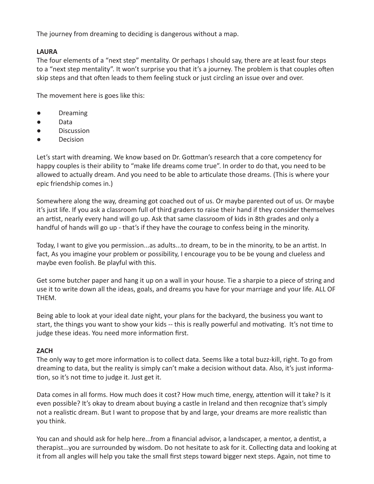The journey from dreaming to deciding is dangerous without a map.

#### **LAURA**

The four elements of a "next step" mentality. Or perhaps I should say, there are at least four steps to a "next step mentality". It won't surprise you that it's a journey. The problem is that couples often skip steps and that often leads to them feeling stuck or just circling an issue over and over.

The movement here is goes like this:

- Dreaming
- Data
- **Discussion**
- Decision

Let's start with dreaming. We know based on Dr. Gottman's research that a core competency for happy couples is their ability to "make life dreams come true". In order to do that, you need to be allowed to actually dream. And you need to be able to articulate those dreams. (This is where your epic friendship comes in.)

Somewhere along the way, dreaming got coached out of us. Or maybe parented out of us. Or maybe it's just life. If you ask a classroom full of third graders to raise their hand if they consider themselves an artist, nearly every hand will go up. Ask that same classroom of kids in 8th grades and only a handful of hands will go up - that's if they have the courage to confess being in the minority.

Today, I want to give you permission...as adults...to dream, to be in the minority, to be an artist. In fact, As you imagine your problem or possibility, I encourage you to be be young and clueless and maybe even foolish. Be playful with this.

Get some butcher paper and hang it up on a wall in your house. Tie a sharpie to a piece of string and use it to write down all the ideas, goals, and dreams you have for your marriage and your life. ALL OF THEM.

Being able to look at your ideal date night, your plans for the backyard, the business you want to start, the things you want to show your kids -- this is really powerful and motivating. It's not time to judge these ideas. You need more information first.

## **ZACH**

The only way to get more information is to collect data. Seems like a total buzz-kill, right. To go from dreaming to data, but the reality is simply can't make a decision without data. Also, it's just information, so it's not time to judge it. Just get it.

Data comes in all forms. How much does it cost? How much time, energy, attention will it take? Is it even possible? It's okay to dream about buying a castle in Ireland and then recognize that's simply not a realistic dream. But I want to propose that by and large, your dreams are more realistic than you think.

You can and should ask for help here...from a financial advisor, a landscaper, a mentor, a dentist, a therapist...you are surrounded by wisdom. Do not hesitate to ask for it. Collecting data and looking at it from all angles will help you take the small first steps toward bigger next steps. Again, not time to